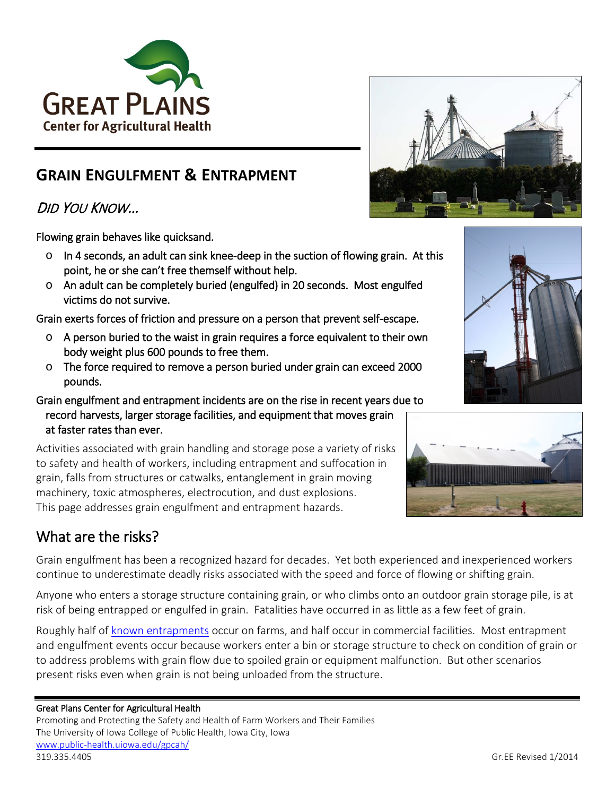

# **GRAIN ENGULFMENT & ENTRAPMENT**

# DID YOU KNOW…

Flowing grain behaves like quicksand.

- $\circ$  In 4 seconds, an adult can sink knee-deep in the suction of flowing grain. At this point, he or she can't free themself without help.
- o An adult can be completely buried (engulfed) in 20 seconds. Most engulfed victims do not survive.

Grain exerts forces of friction and pressure on a person that prevent self-escape.

- $\circ$  A person buried to the waist in grain requires a force equivalent to their own body weight plus 600 pounds to free them.
- o The force required to remove a person buried under grain can exceed 2000 pounds.
- Grain engulfment and entrapment incidents are on the rise in recent years due to record harvests, larger storage facilities, and equipment that moves grain at faster rates than ever.

Activities associated with grain handling and storage pose a variety of risks to safety and health of workers, including entrapment and suffocation in grain, falls from structures or catwalks, entanglement in grain moving machinery, toxic atmospheres, electrocution, and dust explosions. This page addresses grain engulfment and entrapment hazards.

# What are the risks?

Grain engulfment has been a recognized hazard for decades. Yet both experienced and inexperienced workers continue to underestimate deadly risks associated with the speed and force of flowing or shifting grain.

Anyone who enters a storage structure containing grain, or who climbs onto an outdoor grain storage pile, is at risk of being entrapped or engulfed in grain. Fatalities have occurred in as little as a few feet of grain.

Roughly half of [known entrapments](http://www.publicintegrity.org/2013/03/24/12362/key-findings) occur on farms, and half occur in commercial facilities. Most entrapment and engulfment events occur because workers enter a bin or storage structure to check on condition of grain or to address problems with grain flow due to spoiled grain or equipment malfunction. But other scenarios present risks even when grain is not being unloaded from the structure.

# Great Plans Center for Agricultural Health

Promoting and Protecting the Safety and Health of Farm Workers and Their Families The University of Iowa College of Public Health, Iowa City, Iowa [www.public-health.uiowa.edu/gpcah/](http://www.public-health.uiowa.edu/gpcah/) 319.335.4405 Gr.EE Revised 1/2014





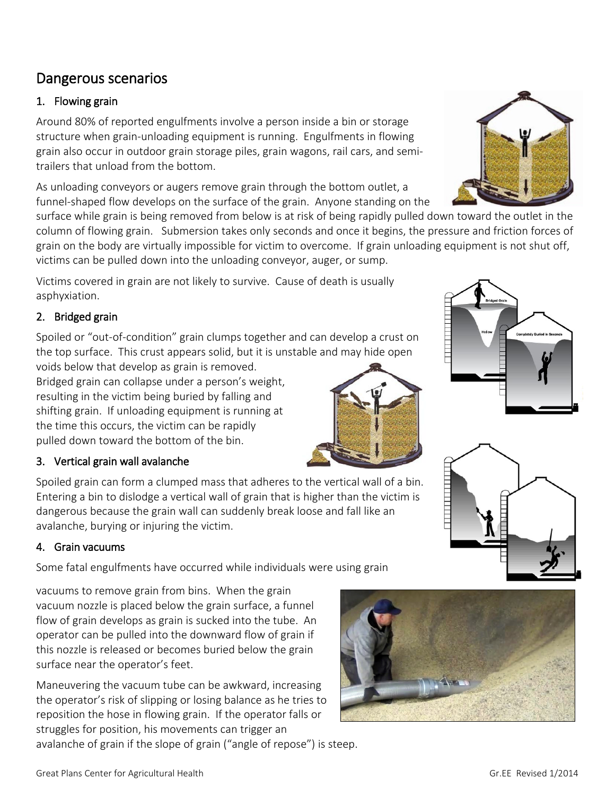# Dangerous scenarios

# 1. Flowing grain

Around 80% of reported engulfments involve a person inside a bin or storage structure when grain-unloading equipment is running. Engulfments in flowing grain also occur in outdoor grain storage piles, grain wagons, rail cars, and semitrailers that unload from the bottom.

As unloading conveyors or augers remove grain through the bottom outlet, a funnel-shaped flow develops on the surface of the grain. Anyone standing on the

surface while grain is being removed from below is at risk of being rapidly pulled down toward the outlet in the column of flowing grain. Submersion takes only seconds and once it begins, the pressure and friction forces of grain on the body are virtually impossible for victim to overcome. If grain unloading equipment is not shut off, victims can be pulled down into the unloading conveyor, auger, or sump.

Victims covered in grain are not likely to survive. Cause of death is usually asphyxiation.

# 2. Bridged grain

Spoiled or "out-of-condition" grain clumps together and can develop a crust on the top surface. This crust appears solid, but it is unstable and may hide open

voids below that develop as grain is removed. Bridged grain can collapse under a person's weight, resulting in the victim being buried by falling and shifting grain. If unloading equipment is running at the time this occurs, the victim can be rapidly pulled down toward the bottom of the bin.

# 3. Vertical grain wall avalanche

Spoiled grain can form a clumped mass that adheres to the vertical wall of a bin. Entering a bin to dislodge a vertical wall of grain that is higher than the victim is dangerous because the grain wall can suddenly break loose and fall like an avalanche, burying or injuring the victim.

# 4. Grain vacuums

Some fatal engulfments have occurred while individuals were using grain

vacuums to remove grain from bins. When the grain vacuum nozzle is placed below the grain surface, a funnel flow of grain develops as grain is sucked into the tube. An operator can be pulled into the downward flow of grain if this nozzle is released or becomes buried below the grain surface near the operator's feet.

Maneuvering the vacuum tube can be awkward, increasing the operator's risk of slipping or losing balance as he tries to reposition the hose in flowing grain. If the operator falls or struggles for position, his movements can trigger an avalanche of grain if the slope of grain ("angle of repose") is steep.









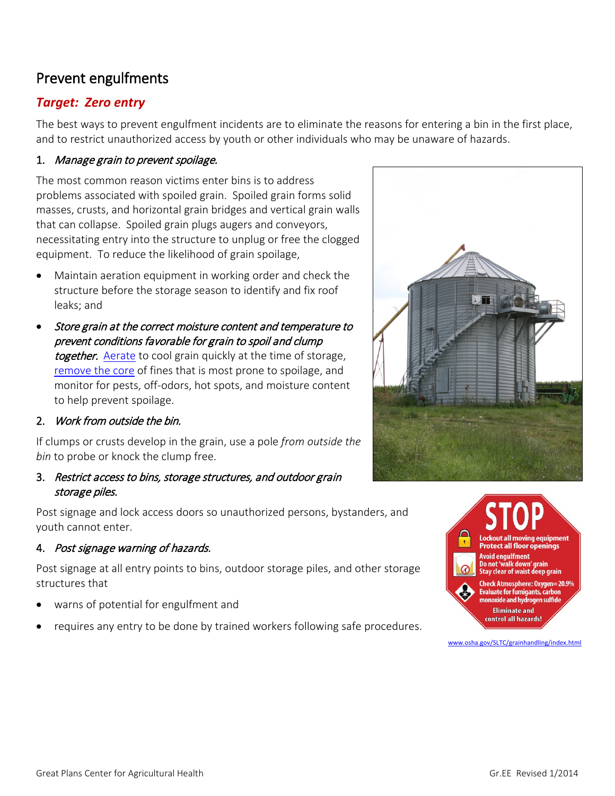# Prevent engulfments

# *Target: Zero entry*

The best ways to prevent engulfment incidents are to eliminate the reasons for entering a bin in the first place, and to restrict unauthorized access by youth or other individuals who may be unaware of hazards.

## 1. Manage grain to prevent spoilage.

The most common reason victims enter bins is to address problems associated with spoiled grain. Spoiled grain forms solid masses, crusts, and horizontal grain bridges and vertical grain walls that can collapse. Spoiled grain plugs augers and conveyors, necessitating entry into the structure to unplug or free the clogged equipment. To reduce the likelihood of grain spoilage,

- Maintain aeration equipment in working order and check the structure before the storage season to identify and fix roof leaks; and
- Store grain at the correct moisture content and temperature to prevent conditions favorable for grain to spoil and clump together. [Aerate](http://www.extension.umn.edu/distribution/cropsystems/DC1327.html) to cool grain quickly at the time of storage, [remove the core](http://extension.entm.purdue.edu/grainlab/content/pdf/CornStorageConcerns_Spring2012.pdf) of fines that is most prone to spoilage, and monitor for pests, off-odors, hot spots, and moisture content to help prevent spoilage.

## 2. Work from outside the bin.

If clumps or crusts develop in the grain, use a pole *from outside the bin* to probe or knock the clump free.

## 3. Restrict access to bins, storage structures, and outdoor grain storage piles.

Post signage and lock access doors so unauthorized persons, bystanders, and youth cannot enter.

## 4. Post signage warning of hazards.

Post signage at all entry points to bins, outdoor storage piles, and other storage structures that

- warns of potential for engulfment and
- requires any entry to be done by trained workers following safe procedures.



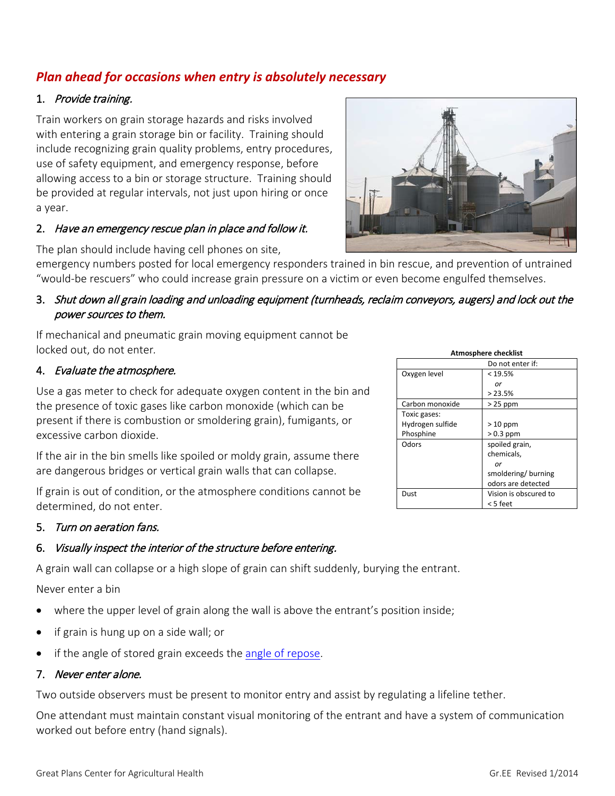Never enter a bin

- where the upper level of grain along the wall is above the entrant's position inside;
- 
- if the angle of stored grain exceeds the [angle of repose.](http://www.extension.umn.edu/distribution/cropsystems/m1080-FS.pdf)

#### 7. Never enter alone.

Two outside observers must be present to monitor entry and assist by regulating a lifeline tether.

One attendant must maintain constant visual monitoring of the entrant and have a system of communication worked out before entry (hand signals).

# *Plan ahead for occasions when entry is absolutely necessary*

#### 1. Provide training.

Train workers on grain storage hazards and risks involved with entering a grain storage bin or facility. Training should include recognizing grain quality problems, entry procedures, use of safety equipment, and emergency response, before allowing access to a bin or storage structure. Training should be provided at regular intervals, not just upon hiring or once a year.

#### 2. Have an emergency rescue plan in place and follow it.

The plan should include having cell phones on site,

emergency numbers posted for local emergency responders trained in bin rescue, and prevention of untrained "would-be rescuers" who could increase grain pressure on a victim or even become engulfed themselves.

## 3. Shut down all grain loading and unloading equipment (turnheads, reclaim conveyors, augers) and lock out the power sources to them.

If mechanical and pneumatic grain moving equipment cannot be locked out, do not enter*.*

### 4. Evaluate the atmosphere.

Use a gas meter to check for adequate oxygen content in the bin and the presence of toxic gases like carbon monoxide (which can be present if there is combustion or smoldering grain), fumigants, or excessive carbon dioxide.

If the air in the bin smells like spoiled or moldy grain, assume there are dangerous bridges or vertical grain walls that can collapse.

If grain is out of condition, or the atmosphere conditions cannot be determined, do not enter.

### 5. Turn on aeration fans.

## 6. Visually inspect the interior of the structure before entering.

A grain wall can collapse or a high slope of grain can shift suddenly, burying the entrant.

- 
- if grain is hung up on a side wall; or
- 



| <b>Atmosphere checklist</b> |                       |
|-----------------------------|-----------------------|
|                             | Do not enter if:      |
| Oxygen level                | < 19.5%               |
|                             | or                    |
|                             | >23.5%                |
| Carbon monoxide             | $>25$ ppm             |
| Toxic gases:                |                       |
| Hydrogen sulfide            | $>10$ ppm             |
| Phosphine                   | $> 0.3$ ppm           |
| Odors                       | spoiled grain,        |
|                             | chemicals,            |
|                             | or                    |
|                             | smoldering/burning    |
|                             | odors are detected    |
| Dust                        | Vision is obscured to |
|                             | < 5 feet              |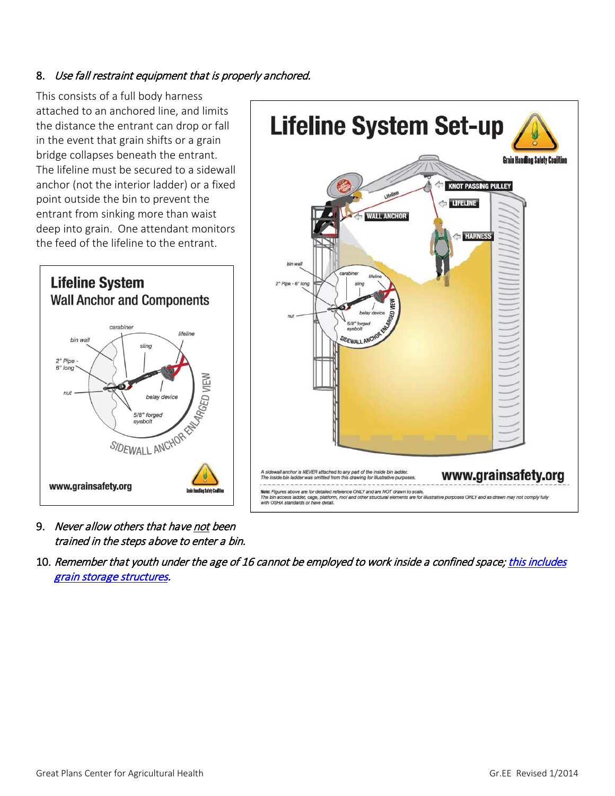# 8. Use fall restraint equipment that is properly anchored.

This consists of a full body harness attached to an anchored line, and limits the distance the entrant can drop or fall in the event that grain shifts or a grain bridge collapses beneath the entrant. The lifeline must be secured to a sidewall anchor (not the interior ladder) or a fixed point outside the bin to prevent the entrant from sinking more than waist deep into grain. One attendant monitors the feed of the lifeline to the entrant.





- 9. Never allow others that have not been trained in the steps above to enter a bin.
- 10. Remember that youth under the age of 16 cannot be employed to work inside a confined space; this includes [grain storage structures.](https://www.osha.gov/pls/oshaweb/owadisp.show_document?p_table=NEWS_RELEASES&p_id=21462)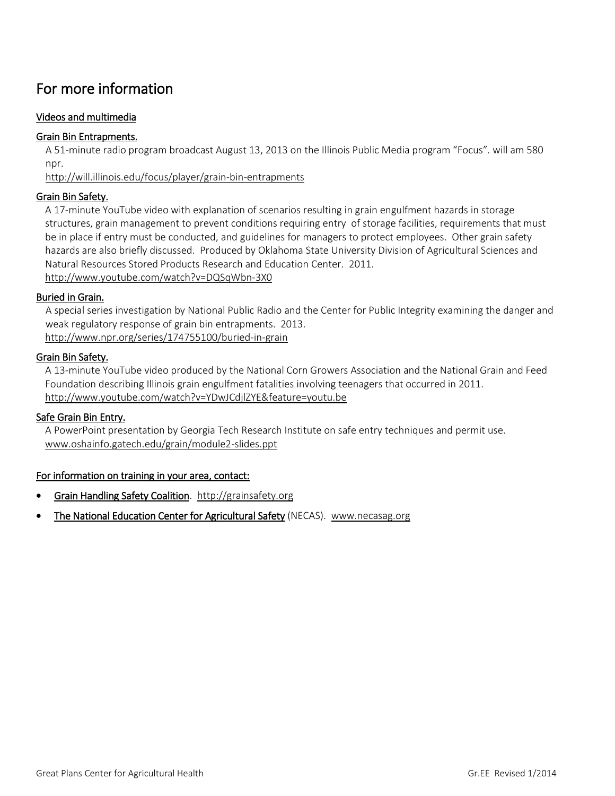# For more information

### Videos and multimedia

#### [Grain Bin Entrapments.](http://will.illinois.edu/focus/player/grain-bin-entrapments)

A 51-minute radio program broadcast August 13, 2013 on the Illinois Public Media program "Focus". will am 580 npr.

<http://will.illinois.edu/focus/player/grain-bin-entrapments>

#### [Grain Bin Safety.](http://www.youtube.com/watch?v=DQSqWbn-3X0)

A 17-minute YouTube video with explanation of scenarios resulting in grain engulfment hazards in storage structures, grain management to prevent conditions requiring entry of storage facilities, requirements that must be in place if entry must be conducted, and guidelines for managers to protect employees. Other grain safety hazards are also briefly discussed. Produced by Oklahoma State University Division of Agricultural Sciences and Natural Resources Stored Products Research and Education Center. 2011. <http://www.youtube.com/watch?v=DQSqWbn-3X0>

#### [Buried in Grain.](http://www.npr.org/series/174755100/buried-in-grain)

A special series investigation by National Public Radio and the Center for Public Integrity examining the danger and weak regulatory response of grain bin entrapments. 2013. <http://www.npr.org/series/174755100/buried-in-grain>

#### [Grain Bin Safety.](http://www.youtube.com/watch?v=YDwJCdjlZYE&feature=youtu.be)

A 13-minute YouTube video produced by the National Corn Growers Association and the National Grain and Feed Foundation describing Illinois grain engulfment fatalities involving teenagers that occurred in 2011. <http://www.youtube.com/watch?v=YDwJCdjlZYE&feature=youtu.be>

#### [Safe Grain Bin Entry.](http://www.oshainfo.gatech.edu/grain/module2-slides.ppt)

A PowerPoint presentation by Georgia Tech Research Institute on safe entry techniques and permit use. [www.oshainfo.gatech.edu/grain/module2-slides.ppt](http://www.oshainfo.gatech.edu/grain/module2-slides.ppt)

#### For information on training in your area, contact:

- [Grain Handling Safety Coalition.](http://grainsafety.org/) [http://grainsafety.org](http://grainsafety.org/)
- [The National Education Center for Agricultural Safety](http://www.necasag.org/) (NECAS). [www.necasag.org](http://www.necasag.org/)